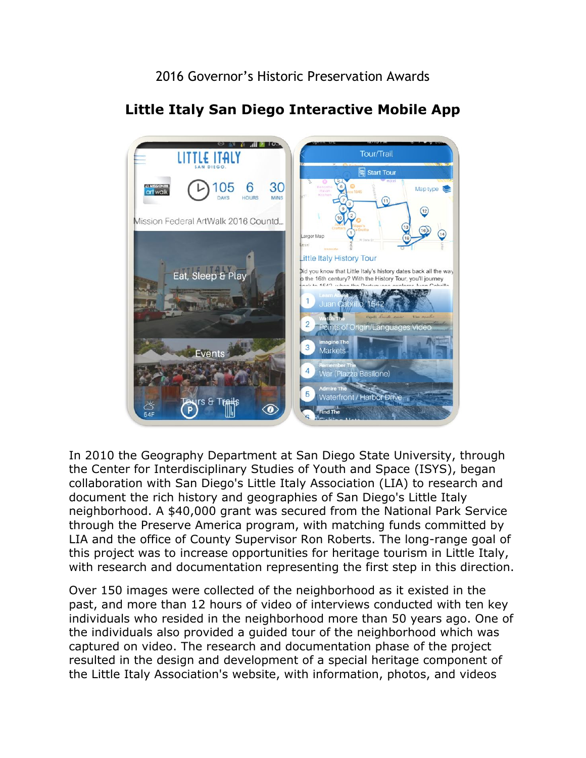2016 Governor's Historic Preservation Awards



## **Little Italy San Diego Interactive Mobile App**

 neighborhood. A \$40,000 grant was secured from the National Park Service In 2010 the Geography Department at San Diego State University, through the Center for Interdisciplinary Studies of Youth and Space (ISYS), began collaboration with San Diego's Little Italy Association (LIA) to research and document the rich history and geographies of San Diego's Little Italy through the Preserve America program, with matching funds committed by LIA and the office of County Supervisor Ron Roberts. The long-range goal of this project was to increase opportunities for heritage tourism in Little Italy, with research and documentation representing the first step in this direction.

 Over 150 images were collected of the neighborhood as it existed in the resulted in the design and development of a special heritage component of past, and more than 12 hours of video of interviews conducted with ten key individuals who resided in the neighborhood more than 50 years ago. One of the individuals also provided a guided tour of the neighborhood which was captured on video. The research and documentation phase of the project the Little Italy Association's website, with information, photos, and videos